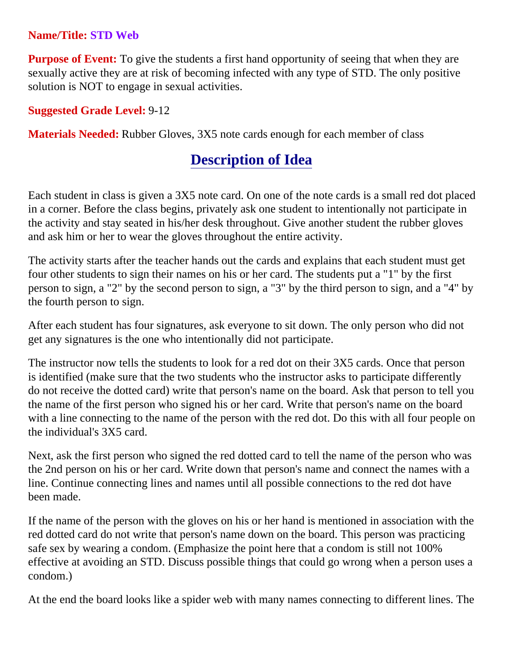## **Name/Title: STD Web**

**Purpose of Event:** To give the students a first hand opportunity of seeing that when they are sexually active they are at risk of becoming infected with any type of STD. The only positive solution is NOT to engage in sexual activities.

## **Suggested Grade Level:** 9-12

**Materials Needed:** Rubber Gloves, 3X5 note cards enough for each member of class

## **Description of Idea**

Each student in class is given a 3X5 note card. On one of the note cards is a small red dot placed in a corner. Before the class begins, privately ask one student to intentionally not participate in the activity and stay seated in his/her desk throughout. Give another student the rubber gloves and ask him or her to wear the gloves throughout the entire activity.

The activity starts after the teacher hands out the cards and explains that each student must get four other students to sign their names on his or her card. The students put a "1" by the first person to sign, a "2" by the second person to sign, a "3" by the third person to sign, and a "4" by the fourth person to sign.

After each student has four signatures, ask everyone to sit down. The only person who did not get any signatures is the one who intentionally did not participate.

The instructor now tells the students to look for a red dot on their 3X5 cards. Once that person is identified (make sure that the two students who the instructor asks to participate differently do not receive the dotted card) write that person's name on the board. Ask that person to tell you the name of the first person who signed his or her card. Write that person's name on the board with a line connecting to the name of the person with the red dot. Do this with all four people on the individual's 3X5 card.

Next, ask the first person who signed the red dotted card to tell the name of the person who was the 2nd person on his or her card. Write down that person's name and connect the names with a line. Continue connecting lines and names until all possible connections to the red dot have been made.

If the name of the person with the gloves on his or her hand is mentioned in association with the red dotted card do not write that person's name down on the board. This person was practicing safe sex by wearing a condom. (Emphasize the point here that a condom is still not 100% effective at avoiding an STD. Discuss possible things that could go wrong when a person uses a condom.)

At the end the board looks like a spider web with many names connecting to different lines. The